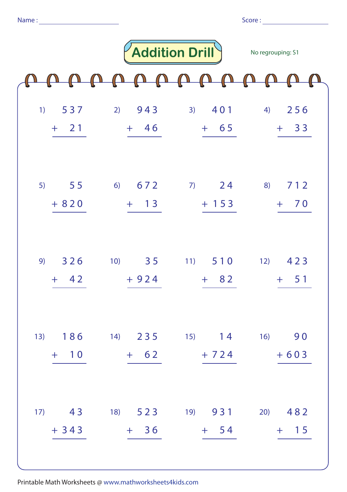|    |                    |                                 | <b>Addition Drill</b>                         | No regrouping: S1          |
|----|--------------------|---------------------------------|-----------------------------------------------|----------------------------|
|    |                    | $\sqrt{\Omega}$<br>$\mathbb{Z}$ |                                               |                            |
| 1) | 537<br>$21$<br>$+$ | 2) 943<br>$+ 46$                | 3) 401<br>$+ 65$                              | 256<br>4)<br>$+ 33$        |
| 5) | 55<br>$+820$       | 672<br>6)<br>13<br>$+$          | 24<br>7)<br>$+ 153$                           | 712<br>8)<br>70<br>$+$     |
| 9) | 326<br>$+ 42$      | 3 <sub>5</sub><br>10)<br>$+924$ | 11) 510<br>$+ 82$                             | 12)<br>423<br>$-51$<br>$+$ |
|    | $+ 10$             |                                 | 13) 186 14) 235 15) 14 16) 90<br>$+ 62 + 724$ | $+603$                     |
|    | $+343$             | $+36$                           | 17) 43 18) 523 19) 931<br>$+$ 54              | $(20)$ 482<br>$+$ 15       |

Printable Math Worksheets @ www.mathworksheets4kids.com